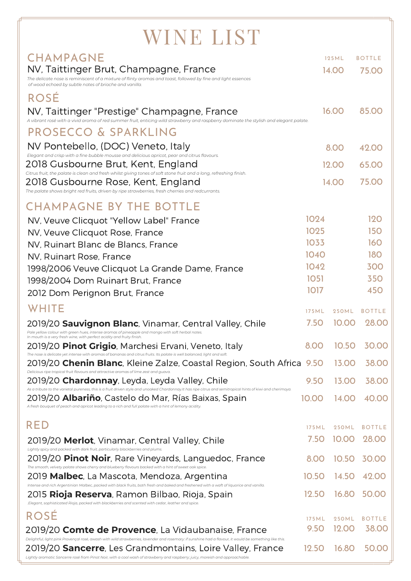| WINE LIST                                                                                                                                                                                                                                                                                                                                |               |                       |                        |
|------------------------------------------------------------------------------------------------------------------------------------------------------------------------------------------------------------------------------------------------------------------------------------------------------------------------------------------|---------------|-----------------------|------------------------|
| <b>CHAMPAGNE</b>                                                                                                                                                                                                                                                                                                                         |               | 125ML                 | <b>BOTTLE</b>          |
| NV, Taittinger Brut, Champagne, France                                                                                                                                                                                                                                                                                                   |               | 14.00                 | 75.00                  |
| The delicate nose is reminiscent of a mixture of flinty aromas and toast, followed by fine and light essences<br>of wood echoed by subtle notes of brioche and vanilla.                                                                                                                                                                  |               |                       |                        |
| <b>ROSÉ</b>                                                                                                                                                                                                                                                                                                                              |               |                       |                        |
| NV, Taittinger "Prestige" Champagne, France<br>A vibrant rosé with a vivid aroma of red summer fruit, enticing wild strawberry and raspberry dominate the stylish and elegant palate.                                                                                                                                                    |               | 16.00                 | 85.00                  |
| PROSECCO & SPARKLING                                                                                                                                                                                                                                                                                                                     |               |                       |                        |
| NV Pontebello, (DOC) Veneto, Italy                                                                                                                                                                                                                                                                                                       |               | 8.00                  | 42.00                  |
| Elegant and crisp with a fine bubble mousse and delicious apricot, pear and citrus flavours.<br>2018 Gusbourne Brut, Kent, England                                                                                                                                                                                                       |               | 12.00                 | 65.00                  |
| Citrus fruit, the palate is clean and fresh whilst giving tones of soft stone fruit and a long, refreshing finish.<br>2018 Gusbourne Rose, Kent, England                                                                                                                                                                                 |               | 14.00                 | 75.00                  |
| The palate shows bright red fruits, driven by ripe strawberries, fresh cherries and redcurrants.                                                                                                                                                                                                                                         |               |                       |                        |
| <b>CHAMPAGNE BY THE BOTTLE</b>                                                                                                                                                                                                                                                                                                           |               |                       |                        |
| NV, Veuve Clicquot "Yellow Label" France                                                                                                                                                                                                                                                                                                 | 1024          |                       | 120                    |
| NV, Veuve Clicquot Rose, France                                                                                                                                                                                                                                                                                                          | 1025          |                       | <b>150</b>             |
| NV. Ruinart Blanc de Blancs, France                                                                                                                                                                                                                                                                                                      | 1033          |                       | 160                    |
| NV, Ruinart Rose, France                                                                                                                                                                                                                                                                                                                 | 1040<br>1042  |                       | <b>180</b><br>300      |
| 1998/2006 Veuve Clicquot La Grande Dame, France<br>1998/2004 Dom Ruinart Brut, France                                                                                                                                                                                                                                                    | <b>1051</b>   |                       | <b>350</b>             |
| 2012 Dom Perignon Brut, France                                                                                                                                                                                                                                                                                                           | 1017          |                       | 450                    |
| WHITE                                                                                                                                                                                                                                                                                                                                    | 175M          |                       | <b>BOTTLE</b>          |
| 2019/20 <b>Sauvignon Blanc</b> , Vinamar, Central Valley, Chile                                                                                                                                                                                                                                                                          | 7.50          | 250ML<br>10.00        | 28.00                  |
| Pale yellow colour with green hues, intense aromas of pineapple and mango with soft herbal notes.<br>In mouth is a very fresh wine, with perfect acidity and fruity finish.                                                                                                                                                              |               |                       |                        |
| 2019/20 Pinot Grigio, Marchesi Ervani, Veneto, Italy<br>The nose is delicate yet intense with aromas of bananas and citrus fruits. Its palate is well balanced, light and soft.                                                                                                                                                          | 8.00          | 10.50                 | 30.00                  |
| 2019/20 <b>Chenin Blanc</b> , Kleine Zalze, Coastal Region, South Africa 9.50<br>Delicious ripe tropical fruit flavours and attractive aromas of lime zest and guava.                                                                                                                                                                    |               | 13.00                 | 38.00                  |
| 2019/20 <b>Chardonnay</b> , Leyda, Leyda Valley, Chile<br>As a tribute to the varietal pureness, this is a fruit driven style and unoaked Chardonnay.It has ripe citrus and semitropical hints of kiwi and cherimoya.                                                                                                                    | 9.50          | 13.00                 | 38.00                  |
| 2019/20 <b>Albariño</b> , Castelo do Mar, Rías Baixas, Spain<br>A fresh bouquet of peach and apricot leading to a rich and full palate with a hint of lemony acidity.                                                                                                                                                                    | 10.00         | 14.00                 | 40.00                  |
| <b>RED</b>                                                                                                                                                                                                                                                                                                                               |               |                       |                        |
|                                                                                                                                                                                                                                                                                                                                          | 175ML<br>7.50 | <b>250ML</b><br>10.00 | <b>BOTTLE</b><br>28.00 |
| 2019/20 Merlot, Vinamar, Central Valley, Chile<br>Lightly spicy and packed with dark fruit, particularly blackberries and plums.                                                                                                                                                                                                         |               |                       |                        |
| 2019/20 <b>Pinot Noir</b> , Rare Vineyards, Languedoc, France<br>The smooth, velvety palate shows cherry and blueberry flavours backed with a hint of sweet oak spice.                                                                                                                                                                   | 8.00          | 10.50                 | 30.00                  |
| 2019 <b>Malbec</b> , La Mascota, Mendoza, Argentina<br>Intense and rich Argentinian Malbec, packed with black fruits, both fresh and baked and freshened with a waft of liquorice and vanilla.                                                                                                                                           | 10.50         | 14.50                 | 42.00                  |
| 2015 <b>Rioja Reserva</b> , Ramon Bilbao, Rioja, Spain<br>Elegant, sophisticated Rioja, packed with blackberries and scented with cedar, leather and spice.                                                                                                                                                                              | 12.50         | 16.80                 | 50.00                  |
| <b>ROSE</b>                                                                                                                                                                                                                                                                                                                              | 175 ML        | 250ML                 | <b>BOTTLE</b>          |
| 2019/20 <b>Comte de Provence</b> , La Vidaubanaise, France                                                                                                                                                                                                                                                                               | 9.50          | 12.00                 | 38.00                  |
| Delightful, light pink Provençal rosé, awash with wild strawberries, lavender and rosemary: if sunshine had a flavour, it would be something like this.<br>2019/20 <b>Sancerre</b> , Les Grandmontains, Loire Valley, France<br>erre rosé from Pinot Noir, with a cool wash of strawberry and raspberry; juicy, moreish and approachable | 12.50         | 16.80                 | 50.00                  |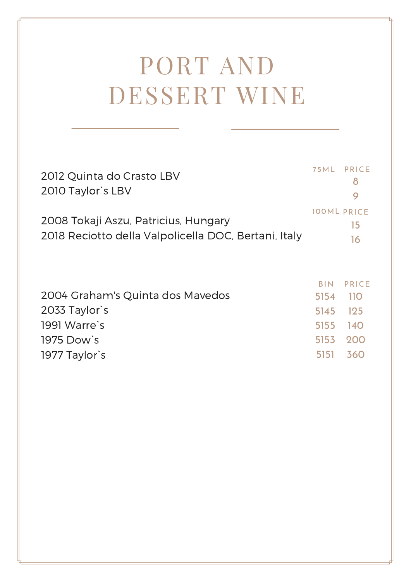## PORT AND DESSERT WINE

| 2012 Quinta do Crasto LBV<br>2010 Taylor's LBV                                               |                            | 75ML PRICE<br>8<br>9           |
|----------------------------------------------------------------------------------------------|----------------------------|--------------------------------|
| 2008 Tokaji Aszu, Patricius, Hungary<br>2018 Reciotto della Valpolicella DOC, Bertani, Italy |                            | <b>100ML PRICE</b><br>15<br>16 |
| 2004 Graham's Quinta dos Mavedos                                                             | <b>BIN</b><br>5154<br>5145 | <b>PRICE</b><br>-110<br>125    |
| 2033 Taylor's<br>1991 Warre's<br>1975 Dow's<br>1977 Taylor's                                 | 5155<br>5153<br>5151       | <b>140</b><br>200<br>360       |